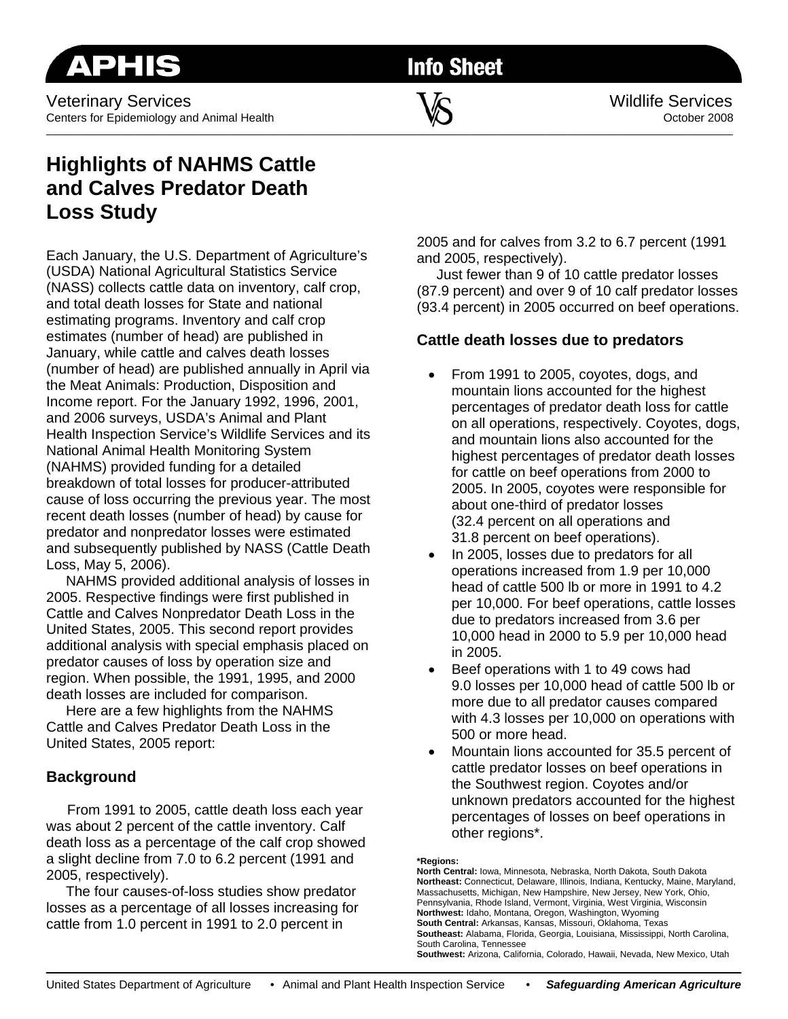**Info Sheet** 

# **Highlights of NAHMS Cattle and Calves Predator Death Loss Study**

Each January, the U.S. Department of Agriculture's (USDA) National Agricultural Statistics Service (NASS) collects cattle data on inventory, calf crop, and total death losses for State and national estimating programs. Inventory and calf crop estimates (number of head) are published in January, while cattle and calves death losses (number of head) are published annually in April via the Meat Animals: Production, Disposition and Income report. For the January 1992, 1996, 2001, and 2006 surveys, USDA's Animal and Plant Health Inspection Service's Wildlife Services and its National Animal Health Monitoring System (NAHMS) provided funding for a detailed breakdown of total losses for producer-attributed cause of loss occurring the previous year. The most recent death losses (number of head) by cause for predator and nonpredator losses were estimated and subsequently published by NASS (Cattle Death Loss, May 5, 2006).

 NAHMS provided additional analysis of losses in 2005. Respective findings were first published in Cattle and Calves Nonpredator Death Loss in the United States, 2005. This second report provides additional analysis with special emphasis placed on predator causes of loss by operation size and region. When possible, the 1991, 1995, and 2000 death losses are included for comparison.

 Here are a few highlights from the NAHMS Cattle and Calves Predator Death Loss in the United States, 2005 report:

## **Background**

From 1991 to 2005, cattle death loss each year was about 2 percent of the cattle inventory. Calf death loss as a percentage of the calf crop showed a slight decline from 7.0 to 6.2 percent (1991 and 2005, respectively).

 The four causes-of-loss studies show predator losses as a percentage of all losses increasing for cattle from 1.0 percent in 1991 to 2.0 percent in

2005 and for calves from 3.2 to 6.7 percent (1991 and 2005, respectively).

 Just fewer than 9 of 10 cattle predator losses (87.9 percent) and over 9 of 10 calf predator losses (93.4 percent) in 2005 occurred on beef operations.

### **Cattle death losses due to predators**

- From 1991 to 2005, coyotes, dogs, and mountain lions accounted for the highest percentages of predator death loss for cattle on all operations, respectively. Coyotes, dogs, and mountain lions also accounted for the highest percentages of predator death losses for cattle on beef operations from 2000 to 2005. In 2005, coyotes were responsible for about one-third of predator losses (32.4 percent on all operations and 31.8 percent on beef operations).
- In 2005, losses due to predators for all operations increased from 1.9 per 10,000 head of cattle 500 lb or more in 1991 to 4.2 per 10,000. For beef operations, cattle losses due to predators increased from 3.6 per 10,000 head in 2000 to 5.9 per 10,000 head in 2005.
- Beef operations with 1 to 49 cows had 9.0 losses per 10,000 head of cattle 500 lb or more due to all predator causes compared with 4.3 losses per 10,000 on operations with 500 or more head.
- Mountain lions accounted for 35.5 percent of cattle predator losses on beef operations in the Southwest region. Coyotes and/or unknown predators accounted for the highest percentages of losses on beef operations in other regions\*.
- **\*Regions:**

**North Central:** Iowa, Minnesota, Nebraska, North Dakota, South Dakota **Northeast:** Connecticut, Delaware, Illinois, Indiana, Kentucky, Maine, Maryland, Massachusetts, Michigan, New Hampshire, New Jersey, New York, Ohio, Pennsylvania, Rhode Island, Vermont, Virginia, West Virginia, Wisconsin **Northwest:** Idaho, Montana, Oregon, Washington, Wyoming **South Central:** Arkansas, Kansas, Missouri, Oklahoma, Texas **Southeast:** Alabama, Florida, Georgia, Louisiana, Mississippi, North Carolina, South Carolina, Tennessee

**Southwest:** Arizona, California, Colorado, Hawaii, Nevada, New Mexico, Utah